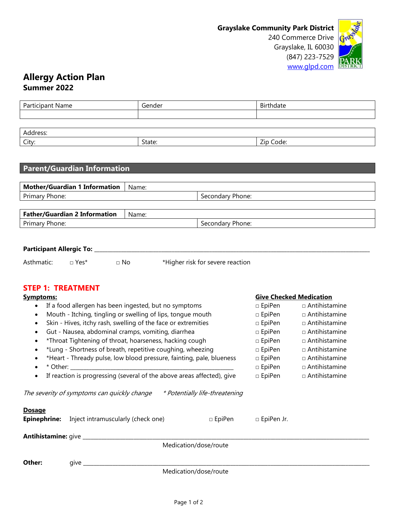

# **Allergy Action Plan Summer 2022**

| Participant Name                                                                                                                                                                                                               | Gender |                                  | Birthdate        |                                |
|--------------------------------------------------------------------------------------------------------------------------------------------------------------------------------------------------------------------------------|--------|----------------------------------|------------------|--------------------------------|
|                                                                                                                                                                                                                                |        |                                  |                  |                                |
| Address:                                                                                                                                                                                                                       |        |                                  |                  |                                |
| City:                                                                                                                                                                                                                          | State: |                                  | Zip Code:        |                                |
|                                                                                                                                                                                                                                |        |                                  |                  |                                |
|                                                                                                                                                                                                                                |        |                                  |                  |                                |
| <b>Parent/Guardian Information</b>                                                                                                                                                                                             |        |                                  |                  |                                |
|                                                                                                                                                                                                                                |        |                                  |                  |                                |
| <b>Mother/Guardian 1 Information</b>                                                                                                                                                                                           | Name:  |                                  |                  |                                |
| Primary Phone:                                                                                                                                                                                                                 |        | Secondary Phone:                 |                  |                                |
| <b>Father/Guardian 2 Information</b>                                                                                                                                                                                           | Name:  |                                  |                  |                                |
| Primary Phone:                                                                                                                                                                                                                 |        | Secondary Phone:                 |                  |                                |
|                                                                                                                                                                                                                                |        |                                  |                  |                                |
|                                                                                                                                                                                                                                |        |                                  |                  |                                |
|                                                                                                                                                                                                                                |        |                                  |                  |                                |
| Asthmatic:<br>□ Yes*                                                                                                                                                                                                           |        |                                  |                  |                                |
| $\Box$ No                                                                                                                                                                                                                      |        | *Higher risk for severe reaction |                  |                                |
|                                                                                                                                                                                                                                |        |                                  |                  |                                |
| <b>STEP 1: TREATMENT</b>                                                                                                                                                                                                       |        |                                  |                  |                                |
| <b>Symptoms:</b>                                                                                                                                                                                                               |        |                                  |                  | <b>Give Checked Medication</b> |
| If a food allergen has been ingested, but no symptoms<br>$\bullet$                                                                                                                                                             |        |                                  | □ EpiPen         | □ Antihistamine                |
| Mouth - Itching, tingling or swelling of lips, tongue mouth<br>$\bullet$                                                                                                                                                       |        |                                  | □ EpiPen         | □ Antihistamine                |
| Skin - Hives, itchy rash, swelling of the face or extremities<br>$\bullet$                                                                                                                                                     |        | □ EpiPen                         | □ Antihistamine  |                                |
| Gut - Nausea, abdominal cramps, vomiting, diarrhea<br>$\bullet$                                                                                                                                                                |        |                                  | □ EpiPen         | □ Antihistamine                |
| *Throat Tightening of throat, hoarseness, hacking cough<br>$\bullet$                                                                                                                                                           |        |                                  | □ EpiPen         | □ Antihistamine                |
| *Lung - Shortness of breath, repetitive coughing, wheezing<br>$\bullet$                                                                                                                                                        |        |                                  | $\square$ EpiPen | □ Antihistamine                |
| *Heart - Thready pulse, low blood pressure, fainting, pale, blueness<br>$\bullet$                                                                                                                                              |        |                                  | □ EpiPen         | □ Antihistamine                |
| * Other: Website the Second State of the Second State of the Second State of the Second State of the Second State of the Second State of the Second State of the Second State of the Second State of the Second State of the S |        |                                  | □ EpiPen         | $\Box$ Antihistamine           |
| If reaction is progressing (several of the above areas affected), give<br>$\bullet$                                                                                                                                            |        |                                  | □ EpiPen         | $\Box$ Antihistamine           |
|                                                                                                                                                                                                                                |        |                                  |                  |                                |
| The severity of symptoms can quickly change * Potentially life-threatening                                                                                                                                                     |        |                                  |                  |                                |
| <b>Dosage</b>                                                                                                                                                                                                                  |        |                                  |                  |                                |
| <b>Epinephrine:</b> Inject intramuscularly (check one)                                                                                                                                                                         |        | $\square$ EpiPen                 | □ EpiPen Jr.     |                                |
|                                                                                                                                                                                                                                |        |                                  |                  |                                |
|                                                                                                                                                                                                                                |        |                                  |                  |                                |
|                                                                                                                                                                                                                                |        | Medication/dose/route            |                  |                                |
|                                                                                                                                                                                                                                |        |                                  |                  |                                |
| Other:                                                                                                                                                                                                                         |        |                                  |                  |                                |
|                                                                                                                                                                                                                                |        | Medication/dose/route            |                  |                                |